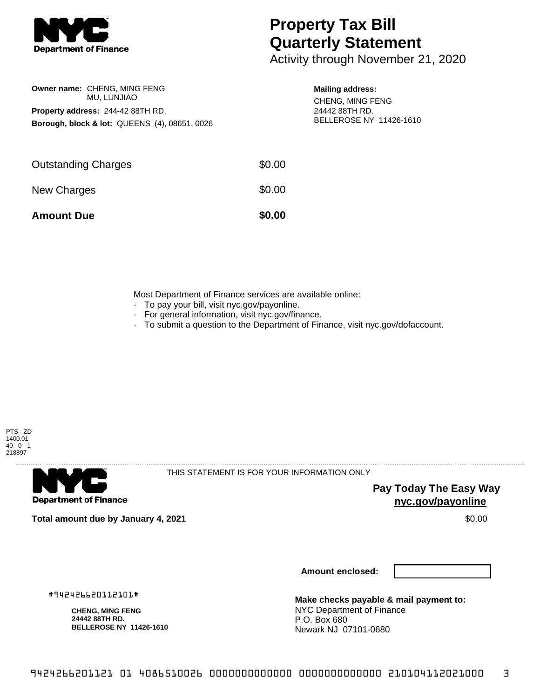

**Owner name:** CHENG, MING FENG MU, LUNJIAO

**Property address:** 244-42 88TH RD.

**Borough, block & lot:** QUEENS (4), 08651, 0026

## **Property Tax Bill Quarterly Statement**

Activity through November 21, 2020

## **Mailing address:**

CHENG, MING FENG 24442 88TH RD. BELLEROSE NY 11426-1610

| <b>Amount Due</b>          | \$0.00 |
|----------------------------|--------|
| New Charges                | \$0.00 |
| <b>Outstanding Charges</b> | \$0.00 |

Most Department of Finance services are available online:

- · To pay your bill, visit nyc.gov/payonline.
- For general information, visit nyc.gov/finance.
- · To submit a question to the Department of Finance, visit nyc.gov/dofaccount.



**Department of Finance** 

THIS STATEMENT IS FOR YOUR INFORMATION ONLY

**Pay Today The Easy Way nyc.gov/payonline**

**Total amount due by January 4, 2021** \$0.00

**Amount enclosed:**

#942426620112101#

**CHENG, MING FENG 24442 88TH RD. BELLEROSE NY 11426-1610**

**Make checks payable & mail payment to:** NYC Department of Finance P.O. Box 680 Newark NJ 07101-0680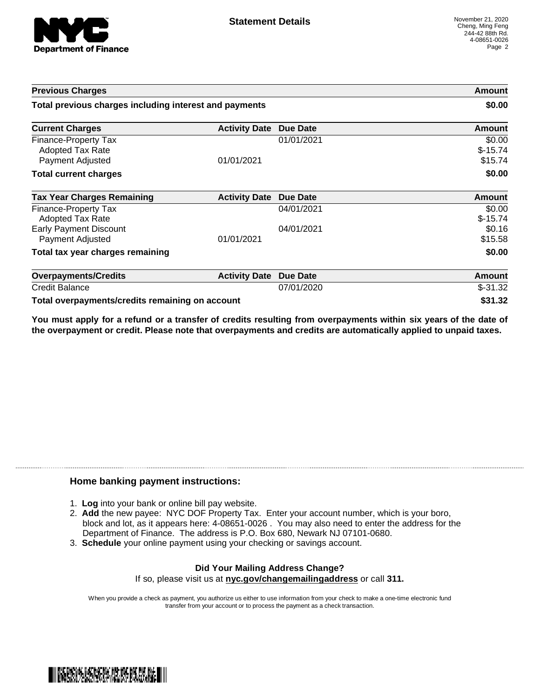

| <b>Previous Charges</b>                                                    |                               |            | Amount                         |
|----------------------------------------------------------------------------|-------------------------------|------------|--------------------------------|
| Total previous charges including interest and payments                     |                               | \$0.00     |                                |
| <b>Current Charges</b>                                                     | <b>Activity Date Due Date</b> |            | <b>Amount</b>                  |
| <b>Finance-Property Tax</b><br><b>Adopted Tax Rate</b><br>Payment Adjusted | 01/01/2021                    | 01/01/2021 | \$0.00<br>$$-15.74$<br>\$15.74 |
| <b>Total current charges</b>                                               |                               |            | \$0.00                         |
| <b>Tax Year Charges Remaining</b>                                          | <b>Activity Date</b>          | Due Date   | Amount                         |
| Finance-Property Tax<br><b>Adopted Tax Rate</b>                            |                               | 04/01/2021 | \$0.00<br>$$-15.74$            |
| <b>Early Payment Discount</b><br>Payment Adjusted                          | 01/01/2021                    | 04/01/2021 | \$0.16<br>\$15.58              |
| Total tax year charges remaining                                           |                               |            | \$0.00                         |
| <b>Overpayments/Credits</b>                                                | <b>Activity Date</b>          | Due Date   | Amount                         |
| <b>Credit Balance</b>                                                      |                               | 07/01/2020 | $$-31.32$                      |
| Total overpayments/credits remaining on account                            |                               |            | \$31.32                        |

You must apply for a refund or a transfer of credits resulting from overpayments within six years of the date of **the overpayment or credit. Please note that overpayments and credits are automatically applied to unpaid taxes.**

## **Home banking payment instructions:**

- 1. **Log** into your bank or online bill pay website.
- 2. **Add** the new payee: NYC DOF Property Tax. Enter your account number, which is your boro, block and lot, as it appears here: 4-08651-0026 . You may also need to enter the address for the Department of Finance. The address is P.O. Box 680, Newark NJ 07101-0680.
- 3. **Schedule** your online payment using your checking or savings account.

## **Did Your Mailing Address Change?** If so, please visit us at **nyc.gov/changemailingaddress** or call **311.**

When you provide a check as payment, you authorize us either to use information from your check to make a one-time electronic fund transfer from your account or to process the payment as a check transaction.